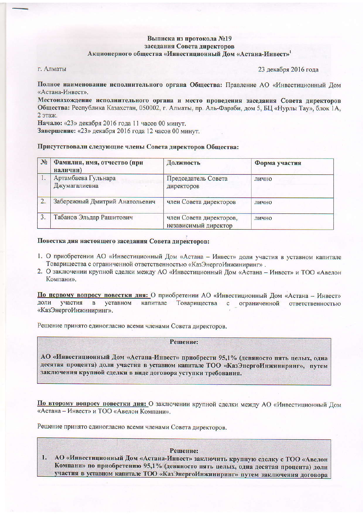# Выписка из протокола №19 заседания Совета директоров Акционерного общества «Инвестиционный Дом «Астана-Инвест»<sup>1</sup>

г. Алматы

23 декабря 2016 года

Полное наименование исполнительного органа Общества: Правление АО «Инвестиционный Дом «Астана-Инвест».

Местонахождение исполнительного органа и место проведения заседания Совета директоров Общества: Республика Казахстан, 050002, г. Алматы, пр. Аль-Фараби, дом 5, БЦ «Нурлы Тау», блок 1А, 2 этаж.

Начало: «23» декабря 2016 года 11 часов 00 минут.

Завершение: «23» декабря 2016 года 12 часов 00 минут.

#### Присутствовали следующие члены Совета директоров Общества:

| N <sub>2</sub> | Фамилия, имя, отчество (при<br>наличии) | Должность                                       | Форма участия |
|----------------|-----------------------------------------|-------------------------------------------------|---------------|
|                | Артамбаева Гульнара<br>Джумагалиевна    | Председатель Совета<br>директоров               | лично         |
|                | Забережный Дмитрий Анатольевич          | член Совета директоров                          | лично         |
|                | Табанов Эльдар Рашитович                | член Совета директоров,<br>независимый директор | лично         |

# Повестка дня настоящего заседания Совета директоров:

- 1. О приобретении АО «Инвестиционный Дом «Астана Инвест» доли участия в уставном капитале Товарищества с ограниченной ответственностью «КазЭнергоИнжиниринг».
- 2. О заключении крупной сделки между АО «Инвестиционный Дом «Астана Инвест» и ТОО «Авелон Компани».

По первому вопросу повестки дня: О приобретении АО «Инвестиционный Дом «Астана - Инвест» участия доли  $\overline{B}$ уставном капитале Товарищества  $\mathbf{c}$ ограниченной ответственностью «КазЭнергоИнжиниринг».

Решение принято единогласно всеми членами Совета директоров.

#### Решение:

АО «Инвестиционный Дом «Астана-Инвест» приобрести 95,1% (девяносто пять целых, одна десятая процента) доли участия в уставном капитале ТОО «КазЭнергоИнжиниринг», путем заключения крупной сделки в виде договора уступки требования.

По второму вопросу повестки дня: О заключении крупной сделки между АО «Инвестиционный Дом «Астана - Инвест» и ТОО «Авелон Компани».

Решение принято единогласно всеми членами Совета директоров.

### Решение:

АО «Инвестиционный Дом «Астана-Инвест» заключить крупную сделку с ТОО «Авелон 1. Компани» по приобретению 95,1% (девяносто пять целых, одна десятая процента) доли участия в уставном капитале ТОО «КазЭнергоИнжиниринг» путем заключения договора